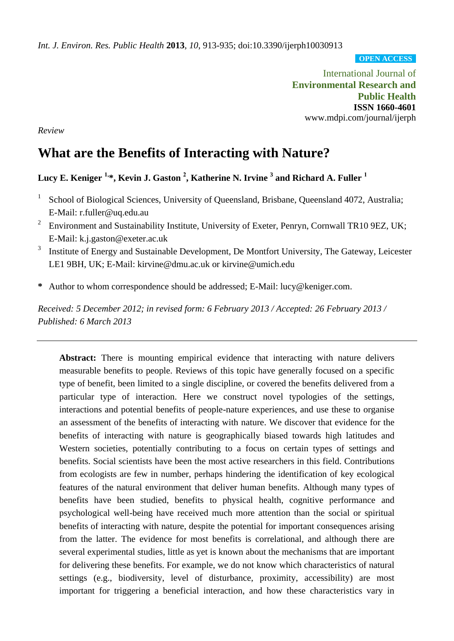*Int. J. Environ. Res. Public Health* **2013**, *10*, 913-935; doi:10.3390/ijerph10030913

**OPEN ACCESS**

International Journal of **Environmental Research and Public Health ISSN 1660-4601** www.mdpi.com/journal/ijerph

*Review*

# **What are the Benefits of Interacting with Nature?**

# **Lucy E. Keniger 1,\*, Kevin J. Gaston <sup>2</sup> , Katherine N. Irvine <sup>3</sup> and Richard A. Fuller <sup>1</sup>**

- 1 School of Biological Sciences, University of Queensland, Brisbane, Queensland 4072, Australia; E-Mail: r.fuller@uq.edu.au
- <sup>2</sup> Environment and Sustainability Institute, University of Exeter, Penryn, Cornwall TR10 9EZ, UK; E-Mail: k.j.gaston@exeter.ac.uk
- 3 Institute of Energy and Sustainable Development, De Montfort University, The Gateway, Leicester LE1 9BH, UK; E-Mail: kirvine@dmu.ac.uk or kirvine@umich.edu
- **\*** Author to whom correspondence should be addressed; E-Mail: lucy@keniger.com.

*Received: 5 December 2012; in revised form: 6 February 2013 / Accepted: 26 February 2013 / Published: 6 March 2013*

**Abstract:** There is mounting empirical evidence that interacting with nature delivers measurable benefits to people. Reviews of this topic have generally focused on a specific type of benefit, been limited to a single discipline, or covered the benefits delivered from a particular type of interaction. Here we construct novel typologies of the settings, interactions and potential benefits of people-nature experiences, and use these to organise an assessment of the benefits of interacting with nature. We discover that evidence for the benefits of interacting with nature is geographically biased towards high latitudes and Western societies, potentially contributing to a focus on certain types of settings and benefits. Social scientists have been the most active researchers in this field. Contributions from ecologists are few in number, perhaps hindering the identification of key ecological features of the natural environment that deliver human benefits. Although many types of benefits have been studied, benefits to physical health, cognitive performance and psychological well-being have received much more attention than the social or spiritual benefits of interacting with nature, despite the potential for important consequences arising from the latter. The evidence for most benefits is correlational, and although there are several experimental studies, little as yet is known about the mechanisms that are important for delivering these benefits. For example, we do not know which characteristics of natural settings (e.g., biodiversity, level of disturbance, proximity, accessibility) are most important for triggering a beneficial interaction, and how these characteristics vary in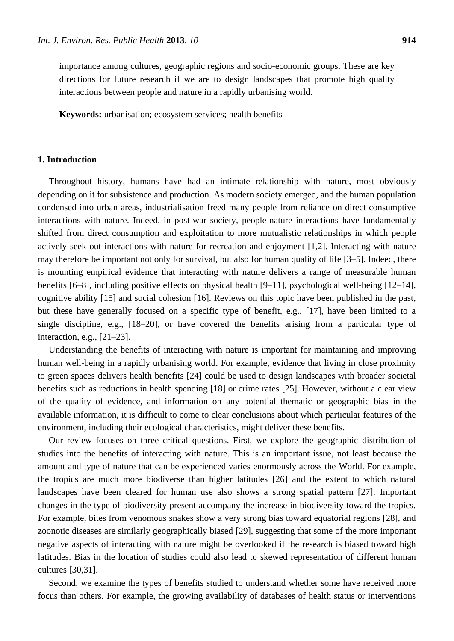**Keywords:** urbanisation; ecosystem services; health benefits

# **1. Introduction**

Throughout history, humans have had an intimate relationship with nature, most obviously depending on it for subsistence and production. As modern society emerged, and the human population condensed into urban areas, industrialisation freed many people from reliance on direct consumptive interactions with nature. Indeed, in post-war society, people-nature interactions have fundamentally shifted from direct consumption and exploitation to more mutualistic relationships in which people actively seek out interactions with nature for recreation and enjoyment [1,2]. Interacting with nature may therefore be important not only for survival, but also for human quality of life [3–5]. Indeed, there is mounting empirical evidence that interacting with nature delivers a range of measurable human benefits [6–8], including positive effects on physical health [9–11], psychological well-being [12–14], cognitive ability [15] and social cohesion [16]. Reviews on this topic have been published in the past, but these have generally focused on a specific type of benefit, e.g., [17], have been limited to a single discipline, e.g., [18–20], or have covered the benefits arising from a particular type of interaction, e.g., [21–23].

Understanding the benefits of interacting with nature is important for maintaining and improving human well-being in a rapidly urbanising world. For example, evidence that living in close proximity to green spaces delivers health benefits [24] could be used to design landscapes with broader societal benefits such as reductions in health spending [18] or crime rates [25]. However, without a clear view of the quality of evidence, and information on any potential thematic or geographic bias in the available information, it is difficult to come to clear conclusions about which particular features of the environment, including their ecological characteristics, might deliver these benefits.

Our review focuses on three critical questions. First, we explore the geographic distribution of studies into the benefits of interacting with nature. This is an important issue, not least because the amount and type of nature that can be experienced varies enormously across the World. For example, the tropics are much more biodiverse than higher latitudes [26] and the extent to which natural landscapes have been cleared for human use also shows a strong spatial pattern [27]. Important changes in the type of biodiversity present accompany the increase in biodiversity toward the tropics. For example, bites from venomous snakes show a very strong bias toward equatorial regions [28], and zoonotic diseases are similarly geographically biased [29], suggesting that some of the more important negative aspects of interacting with nature might be overlooked if the research is biased toward high latitudes. Bias in the location of studies could also lead to skewed representation of different human cultures [30,31].

Second, we examine the types of benefits studied to understand whether some have received more focus than others. For example, the growing availability of databases of health status or interventions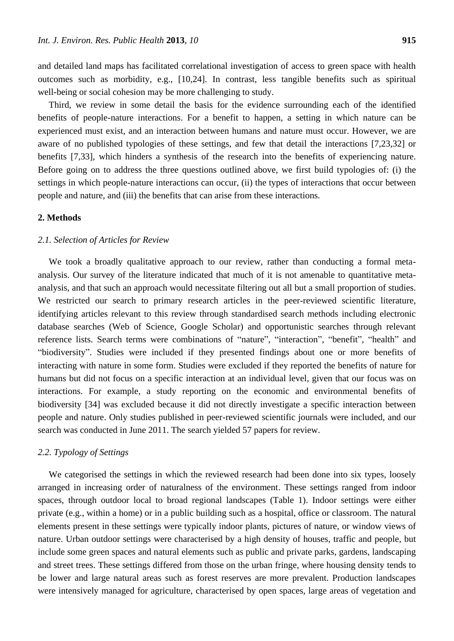and detailed land maps has facilitated correlational investigation of access to green space with health outcomes such as morbidity, e.g., [10,24]. In contrast, less tangible benefits such as spiritual well-being or social cohesion may be more challenging to study.

Third, we review in some detail the basis for the evidence surrounding each of the identified benefits of people-nature interactions. For a benefit to happen, a setting in which nature can be experienced must exist, and an interaction between humans and nature must occur. However, we are aware of no published typologies of these settings, and few that detail the interactions [7,23,32] or benefits [7,33], which hinders a synthesis of the research into the benefits of experiencing nature. Before going on to address the three questions outlined above, we first build typologies of: (i) the settings in which people-nature interactions can occur, (ii) the types of interactions that occur between people and nature, and (iii) the benefits that can arise from these interactions.

# **2. Methods**

## *2.1. Selection of Articles for Review*

We took a broadly qualitative approach to our review, rather than conducting a formal metaanalysis. Our survey of the literature indicated that much of it is not amenable to quantitative metaanalysis, and that such an approach would necessitate filtering out all but a small proportion of studies. We restricted our search to primary research articles in the peer-reviewed scientific literature, identifying articles relevant to this review through standardised search methods including electronic database searches (Web of Science, Google Scholar) and opportunistic searches through relevant reference lists. Search terms were combinations of "nature", "interaction", "benefit", "health" and "biodiversity". Studies were included if they presented findings about one or more benefits of interacting with nature in some form. Studies were excluded if they reported the benefits of nature for humans but did not focus on a specific interaction at an individual level, given that our focus was on interactions. For example, a study reporting on the economic and environmental benefits of biodiversity [34] was excluded because it did not directly investigate a specific interaction between people and nature. Only studies published in peer-reviewed scientific journals were included, and our search was conducted in June 2011. The search yielded 57 papers for review.

#### *2.2. Typology of Settings*

We categorised the settings in which the reviewed research had been done into six types, loosely arranged in increasing order of naturalness of the environment. These settings ranged from indoor spaces, through outdoor local to broad regional landscapes (Table 1). Indoor settings were either private (e.g., within a home) or in a public building such as a hospital, office or classroom. The natural elements present in these settings were typically indoor plants, pictures of nature, or window views of nature. Urban outdoor settings were characterised by a high density of houses, traffic and people, but include some green spaces and natural elements such as public and private parks, gardens, landscaping and street trees. These settings differed from those on the urban fringe, where housing density tends to be lower and large natural areas such as forest reserves are more prevalent. Production landscapes were intensively managed for agriculture, characterised by open spaces, large areas of vegetation and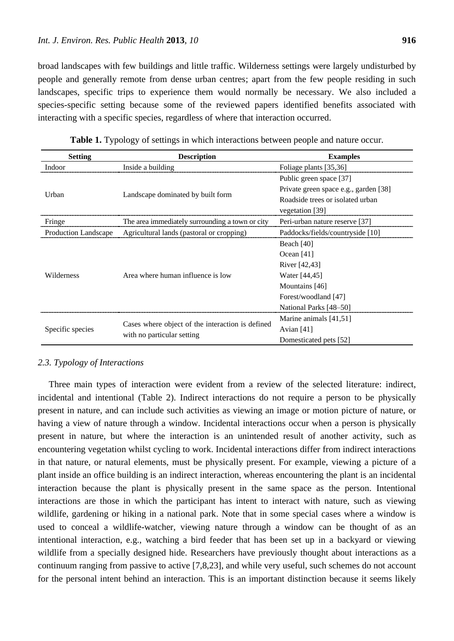broad landscapes with few buildings and little traffic. Wilderness settings were largely undisturbed by people and generally remote from dense urban centres; apart from the few people residing in such landscapes, specific trips to experience them would normally be necessary. We also included a species-specific setting because some of the reviewed papers identified benefits associated with interacting with a specific species, regardless of where that interaction occurred.

| <b>Setting</b>              | <b>Description</b>                               | <b>Examples</b>                       |
|-----------------------------|--------------------------------------------------|---------------------------------------|
| Indoor                      | Inside a building                                | Foliage plants [35,36]                |
|                             |                                                  | Public green space [37]               |
|                             | Landscape dominated by built form                | Private green space e.g., garden [38] |
| Urban                       |                                                  | Roadside trees or isolated urban      |
|                             |                                                  | vegetation [39]                       |
| Fringe                      | The area immediately surrounding a town or city  | Peri-urban nature reserve [37]        |
| <b>Production Landscape</b> | Agricultural lands (pastoral or cropping)        | Paddocks/fields/countryside [10]      |
|                             | Area where human influence is low                | Beach [40]                            |
|                             |                                                  | Ocean $[41]$                          |
|                             |                                                  | River [42,43]                         |
| Wilderness                  |                                                  | Water [44,45]                         |
|                             |                                                  | Mountains [46]                        |
|                             |                                                  | Forest/woodland [47]                  |
|                             |                                                  | National Parks [48–50]                |
|                             | Cases where object of the interaction is defined | Marine animals [41,51]                |
| Specific species            |                                                  | Avian $[41]$                          |
|                             | with no particular setting                       | Domesticated pets [52]                |

**Table 1.** Typology of settings in which interactions between people and nature occur.

# *2.3. Typology of Interactions*

Three main types of interaction were evident from a review of the selected literature: indirect, incidental and intentional (Table 2). Indirect interactions do not require a person to be physically present in nature, and can include such activities as viewing an image or motion picture of nature, or having a view of nature through a window. Incidental interactions occur when a person is physically present in nature, but where the interaction is an unintended result of another activity, such as encountering vegetation whilst cycling to work. Incidental interactions differ from indirect interactions in that nature, or natural elements, must be physically present. For example, viewing a picture of a plant inside an office building is an indirect interaction, whereas encountering the plant is an incidental interaction because the plant is physically present in the same space as the person. Intentional interactions are those in which the participant has intent to interact with nature, such as viewing wildlife, gardening or hiking in a national park. Note that in some special cases where a window is used to conceal a wildlife-watcher, viewing nature through a window can be thought of as an intentional interaction, e.g., watching a bird feeder that has been set up in a backyard or viewing wildlife from a specially designed hide. Researchers have previously thought about interactions as a continuum ranging from passive to active [7,8,23], and while very useful, such schemes do not account for the personal intent behind an interaction. This is an important distinction because it seems likely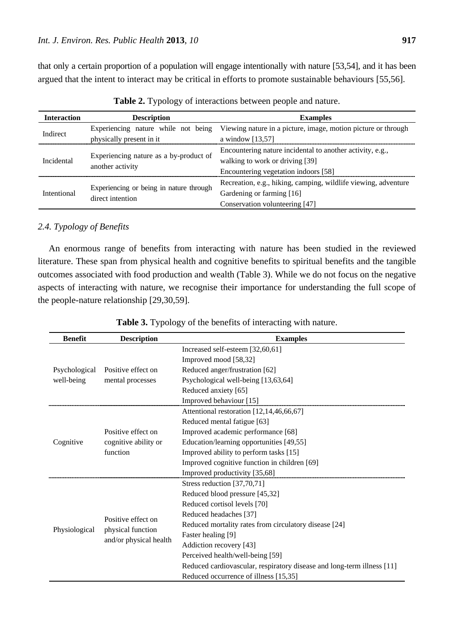that only a certain proportion of a population will engage intentionally with nature [53,54], and it has been argued that the intent to interact may be critical in efforts to promote sustainable behaviours [55,56].

| <b>Interaction</b> | <b>Description</b>                                          | <b>Examples</b>                                                |
|--------------------|-------------------------------------------------------------|----------------------------------------------------------------|
| Indirect           | Experiencing nature while not being                         | Viewing nature in a picture, image, motion picture or through  |
|                    | physically present in it                                    | a window $[13,57]$                                             |
| Incidental         |                                                             | Encountering nature incidental to another activity, e.g.,      |
|                    | Experiencing nature as a by-product of<br>another activity  | walking to work or driving [39]                                |
|                    |                                                             | Encountering vegetation indoors [58]                           |
| <b>Intentional</b> | Experiencing or being in nature through<br>direct intention | Recreation, e.g., hiking, camping, wildlife viewing, adventure |
|                    |                                                             | Gardening or farming [16]                                      |
|                    |                                                             | Conservation volunteering [47]                                 |

**Table 2.** Typology of interactions between people and nature.

# *2.4. Typology of Benefits*

An enormous range of benefits from interacting with nature has been studied in the reviewed literature. These span from physical health and cognitive benefits to spiritual benefits and the tangible outcomes associated with food production and wealth (Table 3). While we do not focus on the negative aspects of interacting with nature, we recognise their importance for understanding the full scope of the people-nature relationship [29,30,59].

| <b>Benefit</b>              | <b>Description</b>                                                | <b>Examples</b>                                                        |  |
|-----------------------------|-------------------------------------------------------------------|------------------------------------------------------------------------|--|
| Psychological<br>well-being |                                                                   | Increased self-esteem [32,60,61]                                       |  |
|                             | Positive effect on<br>mental processes                            | Improved mood [58,32]                                                  |  |
|                             |                                                                   | Reduced anger/frustration [62]                                         |  |
|                             |                                                                   | Psychological well-being [13,63,64]                                    |  |
|                             |                                                                   | Reduced anxiety [65]                                                   |  |
|                             |                                                                   | Improved behaviour [15]                                                |  |
| Cognitive                   |                                                                   | Attentional restoration [12,14,46,66,67]                               |  |
|                             | Positive effect on<br>cognitive ability or<br>function            | Reduced mental fatigue [63]                                            |  |
|                             |                                                                   | Improved academic performance [68]                                     |  |
|                             |                                                                   | Education/learning opportunities [49,55]                               |  |
|                             |                                                                   | Improved ability to perform tasks [15]                                 |  |
|                             |                                                                   | Improved cognitive function in children [69]                           |  |
|                             |                                                                   | Improved productivity [35,68]                                          |  |
|                             |                                                                   | Stress reduction [37,70,71]                                            |  |
|                             | Positive effect on<br>physical function<br>and/or physical health | Reduced blood pressure [45,32]                                         |  |
|                             |                                                                   | Reduced cortisol levels [70]                                           |  |
| Physiological               |                                                                   | Reduced headaches [37]                                                 |  |
|                             |                                                                   | Reduced mortality rates from circulatory disease [24]                  |  |
|                             |                                                                   | Faster healing [9]                                                     |  |
|                             |                                                                   | Addiction recovery [43]                                                |  |
|                             |                                                                   | Perceived health/well-being [59]                                       |  |
|                             |                                                                   | Reduced cardiovascular, respiratory disease and long-term illness [11] |  |
|                             |                                                                   | Reduced occurrence of illness [15,35]                                  |  |

**Table 3.** Typology of the benefits of interacting with nature.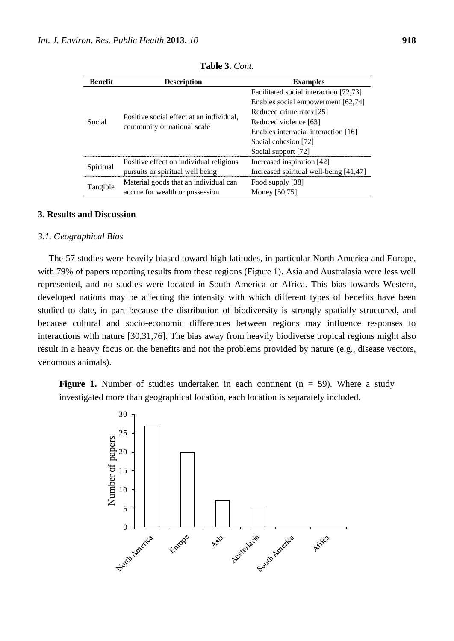| <b>Benefit</b> | <b>Description</b>                                                      | <b>Examples</b>                        |
|----------------|-------------------------------------------------------------------------|----------------------------------------|
| Social         |                                                                         | Facilitated social interaction [72,73] |
|                |                                                                         | Enables social empowerment [62,74]     |
|                | Positive social effect at an individual.<br>community or national scale | Reduced crime rates [25]               |
|                |                                                                         | Reduced violence [63]                  |
|                |                                                                         | Enables interracial interaction [16]   |
|                |                                                                         | Social cohesion [72]                   |
|                |                                                                         | Social support [72]                    |
| Spiritual      | Positive effect on individual religious                                 | Increased inspiration [42]             |
|                | pursuits or spiritual well being                                        | Increased spiritual well-being [41,47] |
| Tangible       | Material goods that an individual can                                   | Food supply [38]                       |
|                | accrue for wealth or possession                                         | Money $[50,75]$                        |

**Table 3.** *Cont.*

# **3. Results and Discussion**

#### *3.1. Geographical Bias*

The 57 studies were heavily biased toward high latitudes, in particular North America and Europe, with 79% of papers reporting results from these regions (Figure 1). Asia and Australasia were less well represented, and no studies were located in South America or Africa. This bias towards Western, developed nations may be affecting the intensity with which different types of benefits have been studied to date, in part because the distribution of biodiversity is strongly spatially structured, and because cultural and socio-economic differences between regions may influence responses to interactions with nature [30,31,76]. The bias away from heavily biodiverse tropical regions might also result in a heavy focus on the benefits and not the problems provided by nature (e.g., disease vectors, venomous animals).

**Figure** 1. Number of studies undertaken in each continent (n = 59). Where a study

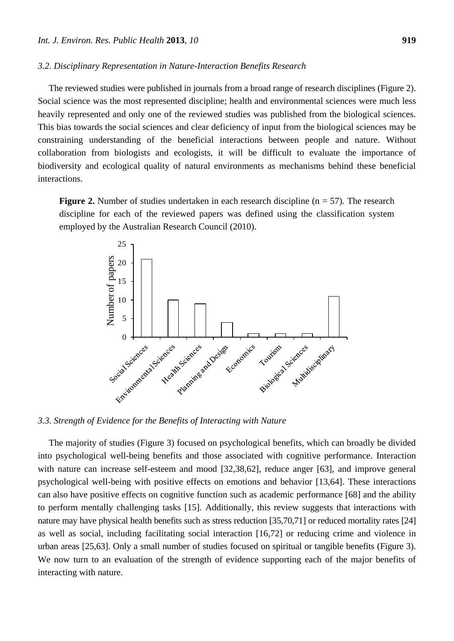#### *3.2. Disciplinary Representation in Nature-Interaction Benefits Research*

The reviewed studies were published in journals from a broad range of research disciplines (Figure 2). Social science was the most represented discipline; health and environmental sciences were much less heavily represented and only one of the reviewed studies was published from the biological sciences. This bias towards the social sciences and clear deficiency of input from the biological sciences may be constraining understanding of the beneficial interactions between people and nature. Without collaboration from biologists and ecologists, it will be difficult to evaluate the importance of biodiversity and ecological quality of natural environments as mechanisms behind these beneficial interactions.

**Figure 2.** Number of studies undertaken in each research discipline  $(n = 57)$ . The research discipline for each of the reviewed papers was defined using the classification system



*3.3. Strength of Evidence for the Benefits of Interacting with Nature*

The majority of studies (Figure 3) focused on psychological benefits, which can broadly be divided into psychological well-being benefits and those associated with cognitive performance. Interaction with nature can increase self-esteem and mood [32,38,62], reduce anger [63], and improve general psychological well-being with positive effects on emotions and behavior [13,64]. These interactions can also have positive effects on cognitive function such as academic performance [68] and the ability to perform mentally challenging tasks [15]. Additionally, this review suggests that interactions with nature may have physical health benefits such as stress reduction [35,70,71] or reduced mortality rates [24] as well as social, including facilitating social interaction [16,72] or reducing crime and violence in urban areas [25,63]. Only a small number of studies focused on spiritual or tangible benefits (Figure 3). We now turn to an evaluation of the strength of evidence supporting each of the major benefits of interacting with nature.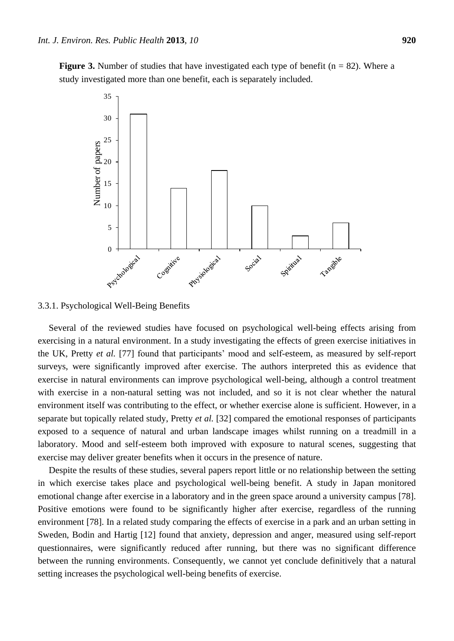**Figure 3.** Number of studies that have investigated each type of benefit ( $n = 82$ ). Where a



#### 3.3.1. Psychological Well-Being Benefits

Several of the reviewed studies have focused on psychological well-being effects arising from exercising in a natural environment. In a study investigating the effects of green exercise initiatives in the UK, Pretty *et al.* [77] found that participants' mood and self-esteem, as measured by self-report surveys, were significantly improved after exercise. The authors interpreted this as evidence that exercise in natural environments can improve psychological well-being, although a control treatment with exercise in a non-natural setting was not included, and so it is not clear whether the natural environment itself was contributing to the effect, or whether exercise alone is sufficient. However, in a separate but topically related study, Pretty *et al.* [32] compared the emotional responses of participants exposed to a sequence of natural and urban landscape images whilst running on a treadmill in a laboratory. Mood and self-esteem both improved with exposure to natural scenes, suggesting that exercise may deliver greater benefits when it occurs in the presence of nature.

Despite the results of these studies, several papers report little or no relationship between the setting in which exercise takes place and psychological well-being benefit. A study in Japan monitored emotional change after exercise in a laboratory and in the green space around a university campus [78]. Positive emotions were found to be significantly higher after exercise, regardless of the running environment [78]. In a related study comparing the effects of exercise in a park and an urban setting in Sweden, Bodin and Hartig [12] found that anxiety, depression and anger, measured using self-report questionnaires, were significantly reduced after running, but there was no significant difference between the running environments. Consequently, we cannot yet conclude definitively that a natural setting increases the psychological well-being benefits of exercise.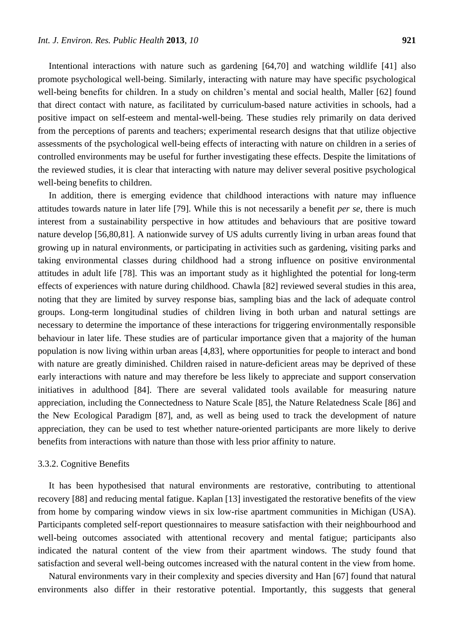Intentional interactions with nature such as gardening [64,70] and watching wildlife [41] also promote psychological well-being. Similarly, interacting with nature may have specific psychological well-being benefits for children. In a study on children's mental and social health, Maller [62] found that direct contact with nature, as facilitated by curriculum-based nature activities in schools, had a positive impact on self-esteem and mental-well-being. These studies rely primarily on data derived from the perceptions of parents and teachers; experimental research designs that that utilize objective assessments of the psychological well-being effects of interacting with nature on children in a series of controlled environments may be useful for further investigating these effects. Despite the limitations of the reviewed studies, it is clear that interacting with nature may deliver several positive psychological well-being benefits to children.

In addition, there is emerging evidence that childhood interactions with nature may influence attitudes towards nature in later life [79]. While this is not necessarily a benefit *per se*, there is much interest from a sustainability perspective in how attitudes and behaviours that are positive toward nature develop [56,80,81]. A nationwide survey of US adults currently living in urban areas found that growing up in natural environments, or participating in activities such as gardening, visiting parks and taking environmental classes during childhood had a strong influence on positive environmental attitudes in adult life [78]. This was an important study as it highlighted the potential for long-term effects of experiences with nature during childhood. Chawla [82] reviewed several studies in this area, noting that they are limited by survey response bias, sampling bias and the lack of adequate control groups. Long-term longitudinal studies of children living in both urban and natural settings are necessary to determine the importance of these interactions for triggering environmentally responsible behaviour in later life. These studies are of particular importance given that a majority of the human population is now living within urban areas [4,83], where opportunities for people to interact and bond with nature are greatly diminished. Children raised in nature-deficient areas may be deprived of these early interactions with nature and may therefore be less likely to appreciate and support conservation initiatives in adulthood [84]. There are several validated tools available for measuring nature appreciation, including the Connectedness to Nature Scale [85], the Nature Relatedness Scale [86] and the New Ecological Paradigm [87], and, as well as being used to track the development of nature appreciation, they can be used to test whether nature-oriented participants are more likely to derive benefits from interactions with nature than those with less prior affinity to nature.

#### 3.3.2. Cognitive Benefits

It has been hypothesised that natural environments are restorative, contributing to attentional recovery [88] and reducing mental fatigue. Kaplan [13] investigated the restorative benefits of the view from home by comparing window views in six low-rise apartment communities in Michigan (USA). Participants completed self-report questionnaires to measure satisfaction with their neighbourhood and well-being outcomes associated with attentional recovery and mental fatigue; participants also indicated the natural content of the view from their apartment windows. The study found that satisfaction and several well-being outcomes increased with the natural content in the view from home.

Natural environments vary in their complexity and species diversity and Han [67] found that natural environments also differ in their restorative potential. Importantly, this suggests that general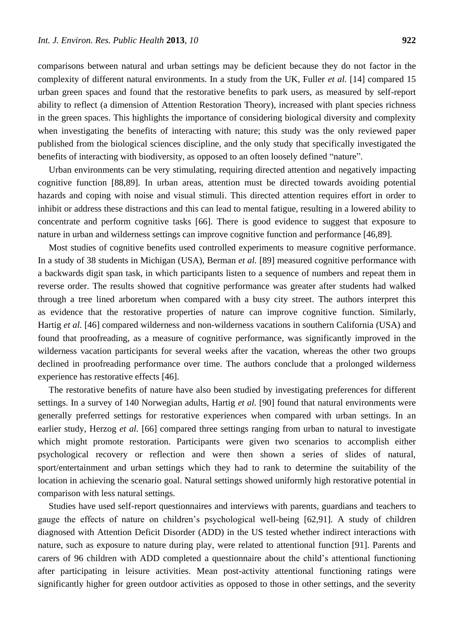ability to reflect (a dimension of Attention Restoration Theory), increased with plant species richness in the green spaces. This highlights the importance of considering biological diversity and complexity when investigating the benefits of interacting with nature; this study was the only reviewed paper published from the biological sciences discipline, and the only study that specifically investigated the benefits of interacting with biodiversity, as opposed to an often loosely defined "nature".

Urban environments can be very stimulating, requiring directed attention and negatively impacting cognitive function [88,89]. In urban areas, attention must be directed towards avoiding potential hazards and coping with noise and visual stimuli. This directed attention requires effort in order to inhibit or address these distractions and this can lead to mental fatigue, resulting in a lowered ability to concentrate and perform cognitive tasks [66]. There is good evidence to suggest that exposure to nature in urban and wilderness settings can improve cognitive function and performance [46,89].

Most studies of cognitive benefits used controlled experiments to measure cognitive performance. In a study of 38 students in Michigan (USA), Berman *et al.* [89] measured cognitive performance with a backwards digit span task, in which participants listen to a sequence of numbers and repeat them in reverse order. The results showed that cognitive performance was greater after students had walked through a tree lined arboretum when compared with a busy city street. The authors interpret this as evidence that the restorative properties of nature can improve cognitive function. Similarly, Hartig *et al.* [46] compared wilderness and non-wilderness vacations in southern California (USA) and found that proofreading, as a measure of cognitive performance, was significantly improved in the wilderness vacation participants for several weeks after the vacation, whereas the other two groups declined in proofreading performance over time. The authors conclude that a prolonged wilderness experience has restorative effects [46].

The restorative benefits of nature have also been studied by investigating preferences for different settings. In a survey of 140 Norwegian adults, Hartig *et al.* [90] found that natural environments were generally preferred settings for restorative experiences when compared with urban settings. In an earlier study, Herzog *et al.* [66] compared three settings ranging from urban to natural to investigate which might promote restoration. Participants were given two scenarios to accomplish either psychological recovery or reflection and were then shown a series of slides of natural, sport/entertainment and urban settings which they had to rank to determine the suitability of the location in achieving the scenario goal. Natural settings showed uniformly high restorative potential in comparison with less natural settings.

Studies have used self-report questionnaires and interviews with parents, guardians and teachers to gauge the effects of nature on children's psychological well-being [62,91]. A study of children diagnosed with Attention Deficit Disorder (ADD) in the US tested whether indirect interactions with nature, such as exposure to nature during play, were related to attentional function [91]. Parents and carers of 96 children with ADD completed a questionnaire about the child's attentional functioning after participating in leisure activities. Mean post-activity attentional functioning ratings were significantly higher for green outdoor activities as opposed to those in other settings, and the severity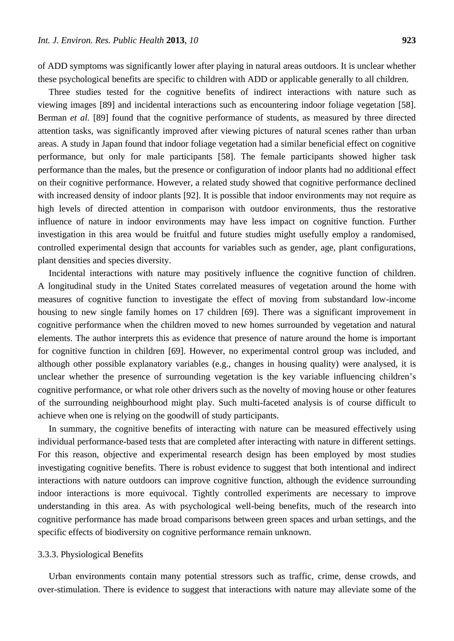of ADD symptoms was significantly lower after playing in natural areas outdoors. It is unclear whether these psychological benefits are specific to children with ADD or applicable generally to all children.

Three studies tested for the cognitive benefits of indirect interactions with nature such as viewing images [89] and incidental interactions such as encountering indoor foliage vegetation [58]. Berman *et al.* [89] found that the cognitive performance of students, as measured by three directed attention tasks, was significantly improved after viewing pictures of natural scenes rather than urban areas. A study in Japan found that indoor foliage vegetation had a similar beneficial effect on cognitive performance, but only for male participants [58]. The female participants showed higher task performance than the males, but the presence or configuration of indoor plants had no additional effect on their cognitive performance. However, a related study showed that cognitive performance declined with increased density of indoor plants [92]. It is possible that indoor environments may not require as high levels of directed attention in comparison with outdoor environments, thus the restorative influence of nature in indoor environments may have less impact on cognitive function. Further investigation in this area would be fruitful and future studies might usefully employ a randomised, controlled experimental design that accounts for variables such as gender, age, plant configurations, plant densities and species diversity.

Incidental interactions with nature may positively influence the cognitive function of children. A longitudinal study in the United States correlated measures of vegetation around the home with measures of cognitive function to investigate the effect of moving from substandard low-income housing to new single family homes on 17 children [69]. There was a significant improvement in cognitive performance when the children moved to new homes surrounded by vegetation and natural elements. The author interprets this as evidence that presence of nature around the home is important for cognitive function in children [69]. However, no experimental control group was included, and although other possible explanatory variables (e.g., changes in housing quality) were analysed, it is unclear whether the presence of surrounding vegetation is the key variable influencing children's cognitive performance, or what role other drivers such as the novelty of moving house or other features of the surrounding neighbourhood might play. Such multi-faceted analysis is of course difficult to achieve when one is relying on the goodwill of study participants.

In summary, the cognitive benefits of interacting with nature can be measured effectively using individual performance-based tests that are completed after interacting with nature in different settings. For this reason, objective and experimental research design has been employed by most studies investigating cognitive benefits. There is robust evidence to suggest that both intentional and indirect interactions with nature outdoors can improve cognitive function, although the evidence surrounding indoor interactions is more equivocal. Tightly controlled experiments are necessary to improve understanding in this area. As with psychological well-being benefits, much of the research into cognitive performance has made broad comparisons between green spaces and urban settings, and the specific effects of biodiversity on cognitive performance remain unknown.

#### 3.3.3. Physiological Benefits

Urban environments contain many potential stressors such as traffic, crime, dense crowds, and over-stimulation. There is evidence to suggest that interactions with nature may alleviate some of the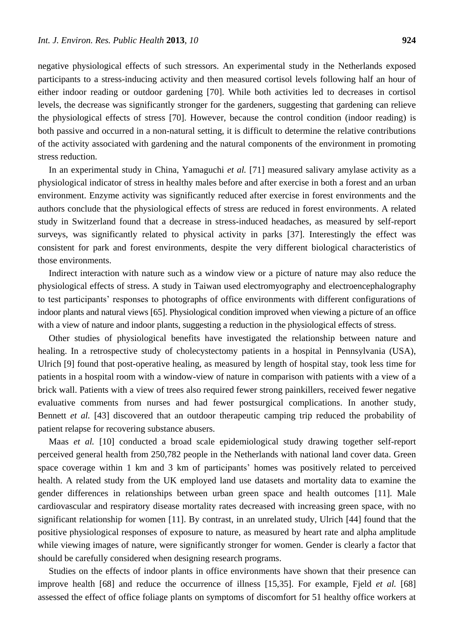negative physiological effects of such stressors. An experimental study in the Netherlands exposed participants to a stress-inducing activity and then measured cortisol levels following half an hour of either indoor reading or outdoor gardening [70]. While both activities led to decreases in cortisol levels, the decrease was significantly stronger for the gardeners, suggesting that gardening can relieve the physiological effects of stress [70]. However, because the control condition (indoor reading) is both passive and occurred in a non-natural setting, it is difficult to determine the relative contributions of the activity associated with gardening and the natural components of the environment in promoting stress reduction.

In an experimental study in China, Yamaguchi *et al.* [71] measured salivary amylase activity as a physiological indicator of stress in healthy males before and after exercise in both a forest and an urban environment. Enzyme activity was significantly reduced after exercise in forest environments and the authors conclude that the physiological effects of stress are reduced in forest environments. A related study in Switzerland found that a decrease in stress-induced headaches, as measured by self-report surveys, was significantly related to physical activity in parks [37]. Interestingly the effect was consistent for park and forest environments, despite the very different biological characteristics of those environments.

Indirect interaction with nature such as a window view or a picture of nature may also reduce the physiological effects of stress. A study in Taiwan used electromyography and electroencephalography to test participants' responses to photographs of office environments with different configurations of indoor plants and natural views [65]. Physiological condition improved when viewing a picture of an office with a view of nature and indoor plants, suggesting a reduction in the physiological effects of stress.

Other studies of physiological benefits have investigated the relationship between nature and healing. In a retrospective study of cholecystectomy patients in a hospital in Pennsylvania (USA), Ulrich [9] found that post-operative healing, as measured by length of hospital stay, took less time for patients in a hospital room with a window-view of nature in comparison with patients with a view of a brick wall. Patients with a view of trees also required fewer strong painkillers, received fewer negative evaluative comments from nurses and had fewer postsurgical complications. In another study, Bennett *et al.* [43] discovered that an outdoor therapeutic camping trip reduced the probability of patient relapse for recovering substance abusers.

Maas *et al.* [10] conducted a broad scale epidemiological study drawing together self-report perceived general health from 250,782 people in the Netherlands with national land cover data. Green space coverage within 1 km and 3 km of participants' homes was positively related to perceived health. A related study from the UK employed land use datasets and mortality data to examine the gender differences in relationships between urban green space and health outcomes [11]. Male cardiovascular and respiratory disease mortality rates decreased with increasing green space, with no significant relationship for women [11]. By contrast, in an unrelated study, Ulrich [44] found that the positive physiological responses of exposure to nature, as measured by heart rate and alpha amplitude while viewing images of nature, were significantly stronger for women. Gender is clearly a factor that should be carefully considered when designing research programs.

Studies on the effects of indoor plants in office environments have shown that their presence can improve health [68] and reduce the occurrence of illness [15,35]. For example, Fjeld *et al.* [68] assessed the effect of office foliage plants on symptoms of discomfort for 51 healthy office workers at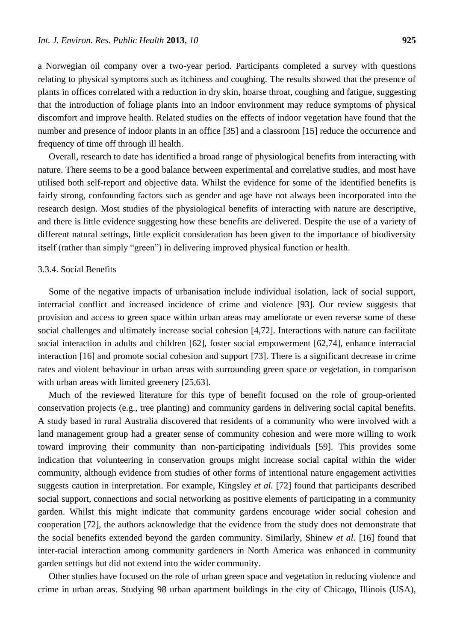a Norwegian oil company over a two-year period. Participants completed a survey with questions relating to physical symptoms such as itchiness and coughing. The results showed that the presence of plants in offices correlated with a reduction in dry skin, hoarse throat, coughing and fatigue, suggesting that the introduction of foliage plants into an indoor environment may reduce symptoms of physical discomfort and improve health. Related studies on the effects of indoor vegetation have found that the number and presence of indoor plants in an office [35] and a classroom [15] reduce the occurrence and frequency of time off through ill health.

Overall, research to date has identified a broad range of physiological benefits from interacting with nature. There seems to be a good balance between experimental and correlative studies, and most have utilised both self-report and objective data. Whilst the evidence for some of the identified benefits is fairly strong, confounding factors such as gender and age have not always been incorporated into the research design. Most studies of the physiological benefits of interacting with nature are descriptive, and there is little evidence suggesting how these benefits are delivered. Despite the use of a variety of different natural settings, little explicit consideration has been given to the importance of biodiversity itself (rather than simply "green") in delivering improved physical function or health.

# 3.3.4. Social Benefits

Some of the negative impacts of urbanisation include individual isolation, lack of social support, interracial conflict and increased incidence of crime and violence [93]. Our review suggests that provision and access to green space within urban areas may ameliorate or even reverse some of these social challenges and ultimately increase social cohesion [4,72]. Interactions with nature can facilitate social interaction in adults and children [62], foster social empowerment [62,74], enhance interracial interaction [16] and promote social cohesion and support [73]. There is a significant decrease in crime rates and violent behaviour in urban areas with surrounding green space or vegetation, in comparison with urban areas with limited greenery [25,63].

Much of the reviewed literature for this type of benefit focused on the role of group-oriented conservation projects (e.g., tree planting) and community gardens in delivering social capital benefits. A study based in rural Australia discovered that residents of a community who were involved with a land management group had a greater sense of community cohesion and were more willing to work toward improving their community than non-participating individuals [59]. This provides some indication that volunteering in conservation groups might increase social capital within the wider community, although evidence from studies of other forms of intentional nature engagement activities suggests caution in interpretation. For example, Kingsley *et al.* [72] found that participants described social support, connections and social networking as positive elements of participating in a community garden. Whilst this might indicate that community gardens encourage wider social cohesion and cooperation [72], the authors acknowledge that the evidence from the study does not demonstrate that the social benefits extended beyond the garden community. Similarly, Shinew *et al.* [16] found that inter-racial interaction among community gardeners in North America was enhanced in community garden settings but did not extend into the wider community.

Other studies have focused on the role of urban green space and vegetation in reducing violence and crime in urban areas. Studying 98 urban apartment buildings in the city of Chicago, Illinois (USA),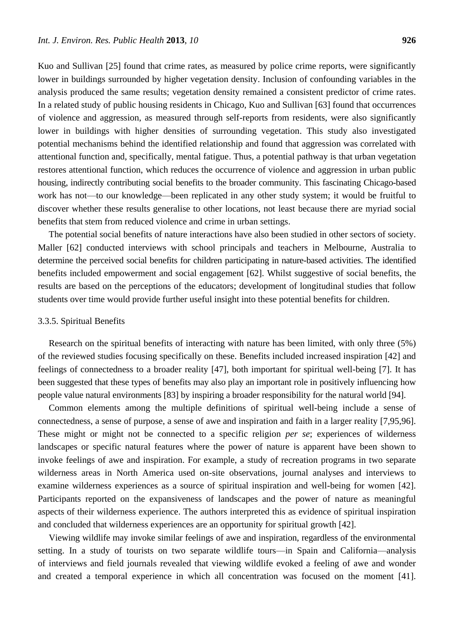Kuo and Sullivan [25] found that crime rates, as measured by police crime reports, were significantly lower in buildings surrounded by higher vegetation density. Inclusion of confounding variables in the analysis produced the same results; vegetation density remained a consistent predictor of crime rates. In a related study of public housing residents in Chicago, Kuo and Sullivan [63] found that occurrences of violence and aggression, as measured through self-reports from residents, were also significantly lower in buildings with higher densities of surrounding vegetation. This study also investigated potential mechanisms behind the identified relationship and found that aggression was correlated with attentional function and, specifically, mental fatigue. Thus, a potential pathway is that urban vegetation restores attentional function, which reduces the occurrence of violence and aggression in urban public housing, indirectly contributing social benefits to the broader community. This fascinating Chicago-based work has not—to our knowledge—been replicated in any other study system; it would be fruitful to discover whether these results generalise to other locations, not least because there are myriad social benefits that stem from reduced violence and crime in urban settings.

The potential social benefits of nature interactions have also been studied in other sectors of society. Maller [62] conducted interviews with school principals and teachers in Melbourne, Australia to determine the perceived social benefits for children participating in nature-based activities. The identified benefits included empowerment and social engagement [62]. Whilst suggestive of social benefits, the results are based on the perceptions of the educators; development of longitudinal studies that follow students over time would provide further useful insight into these potential benefits for children.

# 3.3.5. Spiritual Benefits

Research on the spiritual benefits of interacting with nature has been limited, with only three (5%) of the reviewed studies focusing specifically on these. Benefits included increased inspiration [42] and feelings of connectedness to a broader reality [47], both important for spiritual well-being [7]. It has been suggested that these types of benefits may also play an important role in positively influencing how people value natural environments [83] by inspiring a broader responsibility for the natural world [94].

Common elements among the multiple definitions of spiritual well-being include a sense of connectedness, a sense of purpose, a sense of awe and inspiration and faith in a larger reality [7,95,96]. These might or might not be connected to a specific religion *per se*; experiences of wilderness landscapes or specific natural features where the power of nature is apparent have been shown to invoke feelings of awe and inspiration. For example, a study of recreation programs in two separate wilderness areas in North America used on-site observations, journal analyses and interviews to examine wilderness experiences as a source of spiritual inspiration and well-being for women [42]. Participants reported on the expansiveness of landscapes and the power of nature as meaningful aspects of their wilderness experience. The authors interpreted this as evidence of spiritual inspiration and concluded that wilderness experiences are an opportunity for spiritual growth [42].

Viewing wildlife may invoke similar feelings of awe and inspiration, regardless of the environmental setting. In a study of tourists on two separate wildlife tours—in Spain and California—analysis of interviews and field journals revealed that viewing wildlife evoked a feeling of awe and wonder and created a temporal experience in which all concentration was focused on the moment [41].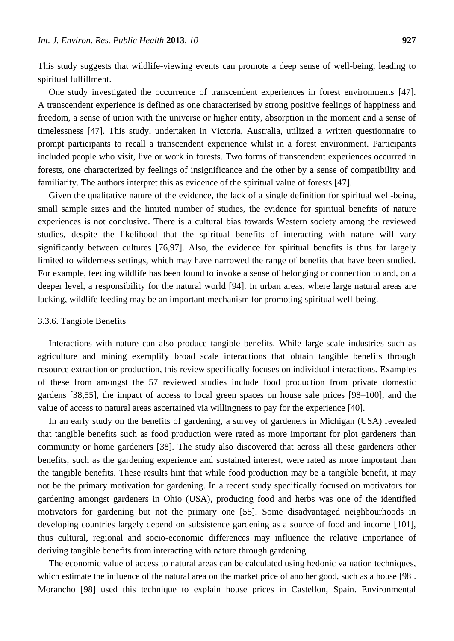This study suggests that wildlife-viewing events can promote a deep sense of well-being, leading to spiritual fulfillment.

One study investigated the occurrence of transcendent experiences in forest environments [47]. A transcendent experience is defined as one characterised by strong positive feelings of happiness and freedom, a sense of union with the universe or higher entity, absorption in the moment and a sense of timelessness [47]. This study, undertaken in Victoria, Australia, utilized a written questionnaire to prompt participants to recall a transcendent experience whilst in a forest environment. Participants included people who visit, live or work in forests. Two forms of transcendent experiences occurred in forests, one characterized by feelings of insignificance and the other by a sense of compatibility and familiarity. The authors interpret this as evidence of the spiritual value of forests [47].

Given the qualitative nature of the evidence, the lack of a single definition for spiritual well-being, small sample sizes and the limited number of studies, the evidence for spiritual benefits of nature experiences is not conclusive. There is a cultural bias towards Western society among the reviewed studies, despite the likelihood that the spiritual benefits of interacting with nature will vary significantly between cultures [76,97]. Also, the evidence for spiritual benefits is thus far largely limited to wilderness settings, which may have narrowed the range of benefits that have been studied. For example, feeding wildlife has been found to invoke a sense of belonging or connection to and, on a deeper level, a responsibility for the natural world [94]. In urban areas, where large natural areas are lacking, wildlife feeding may be an important mechanism for promoting spiritual well-being.

# 3.3.6. Tangible Benefits

Interactions with nature can also produce tangible benefits. While large-scale industries such as agriculture and mining exemplify broad scale interactions that obtain tangible benefits through resource extraction or production, this review specifically focuses on individual interactions. Examples of these from amongst the 57 reviewed studies include food production from private domestic gardens [38,55], the impact of access to local green spaces on house sale prices [98–100], and the value of access to natural areas ascertained via willingness to pay for the experience [40].

In an early study on the benefits of gardening, a survey of gardeners in Michigan (USA) revealed that tangible benefits such as food production were rated as more important for plot gardeners than community or home gardeners [38]. The study also discovered that across all these gardeners other benefits, such as the gardening experience and sustained interest, were rated as more important than the tangible benefits. These results hint that while food production may be a tangible benefit, it may not be the primary motivation for gardening. In a recent study specifically focused on motivators for gardening amongst gardeners in Ohio (USA), producing food and herbs was one of the identified motivators for gardening but not the primary one [55]. Some disadvantaged neighbourhoods in developing countries largely depend on subsistence gardening as a source of food and income [101], thus cultural, regional and socio-economic differences may influence the relative importance of deriving tangible benefits from interacting with nature through gardening.

The economic value of access to natural areas can be calculated using hedonic valuation techniques, which estimate the influence of the natural area on the market price of another good, such as a house [98]. Morancho [98] used this technique to explain house prices in Castellon, Spain. Environmental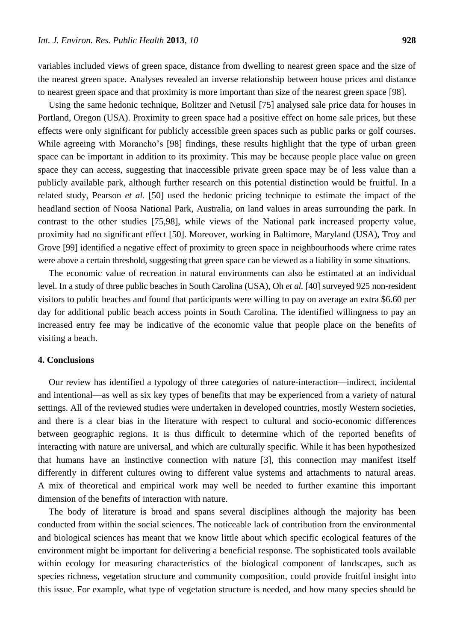variables included views of green space, distance from dwelling to nearest green space and the size of the nearest green space. Analyses revealed an inverse relationship between house prices and distance to nearest green space and that proximity is more important than size of the nearest green space [98].

Using the same hedonic technique, Bolitzer and Netusil [75] analysed sale price data for houses in Portland, Oregon (USA). Proximity to green space had a positive effect on home sale prices, but these effects were only significant for publicly accessible green spaces such as public parks or golf courses. While agreeing with Morancho's [98] findings, these results highlight that the type of urban green space can be important in addition to its proximity. This may be because people place value on green space they can access, suggesting that inaccessible private green space may be of less value than a publicly available park, although further research on this potential distinction would be fruitful. In a related study, Pearson *et al.* [50] used the hedonic pricing technique to estimate the impact of the headland section of Noosa National Park, Australia, on land values in areas surrounding the park. In contrast to the other studies [75,98], while views of the National park increased property value, proximity had no significant effect [50]. Moreover, working in Baltimore, Maryland (USA), Troy and Grove [99] identified a negative effect of proximity to green space in neighbourhoods where crime rates were above a certain threshold, suggesting that green space can be viewed as a liability in some situations.

The economic value of recreation in natural environments can also be estimated at an individual level. In a study of three public beaches in South Carolina (USA), Oh *et al.* [40] surveyed 925 non-resident visitors to public beaches and found that participants were willing to pay on average an extra \$6.60 per day for additional public beach access points in South Carolina. The identified willingness to pay an increased entry fee may be indicative of the economic value that people place on the benefits of visiting a beach.

### **4. Conclusions**

Our review has identified a typology of three categories of nature-interaction—indirect, incidental and intentional—as well as six key types of benefits that may be experienced from a variety of natural settings. All of the reviewed studies were undertaken in developed countries, mostly Western societies, and there is a clear bias in the literature with respect to cultural and socio-economic differences between geographic regions. It is thus difficult to determine which of the reported benefits of interacting with nature are universal, and which are culturally specific. While it has been hypothesized that humans have an instinctive connection with nature [3], this connection may manifest itself differently in different cultures owing to different value systems and attachments to natural areas. A mix of theoretical and empirical work may well be needed to further examine this important dimension of the benefits of interaction with nature.

The body of literature is broad and spans several disciplines although the majority has been conducted from within the social sciences. The noticeable lack of contribution from the environmental and biological sciences has meant that we know little about which specific ecological features of the environment might be important for delivering a beneficial response. The sophisticated tools available within ecology for measuring characteristics of the biological component of landscapes, such as species richness, vegetation structure and community composition, could provide fruitful insight into this issue. For example, what type of vegetation structure is needed, and how many species should be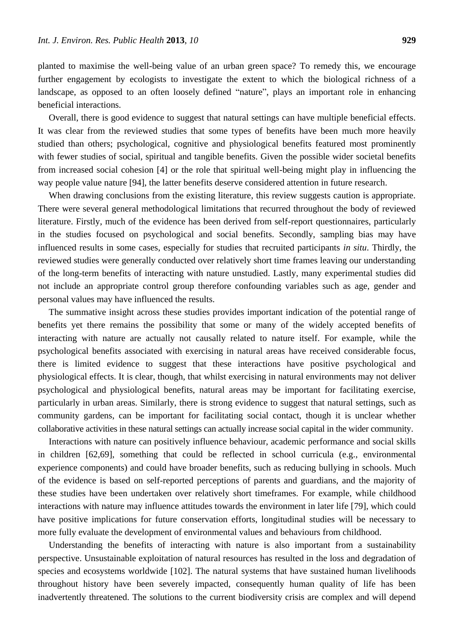planted to maximise the well-being value of an urban green space? To remedy this, we encourage further engagement by ecologists to investigate the extent to which the biological richness of a landscape, as opposed to an often loosely defined "nature", plays an important role in enhancing beneficial interactions.

Overall, there is good evidence to suggest that natural settings can have multiple beneficial effects. It was clear from the reviewed studies that some types of benefits have been much more heavily studied than others; psychological, cognitive and physiological benefits featured most prominently with fewer studies of social, spiritual and tangible benefits. Given the possible wider societal benefits from increased social cohesion [4] or the role that spiritual well-being might play in influencing the way people value nature [94], the latter benefits deserve considered attention in future research.

When drawing conclusions from the existing literature, this review suggests caution is appropriate. There were several general methodological limitations that recurred throughout the body of reviewed literature. Firstly, much of the evidence has been derived from self-report questionnaires, particularly in the studies focused on psychological and social benefits. Secondly, sampling bias may have influenced results in some cases, especially for studies that recruited participants *in situ*. Thirdly, the reviewed studies were generally conducted over relatively short time frames leaving our understanding of the long-term benefits of interacting with nature unstudied. Lastly, many experimental studies did not include an appropriate control group therefore confounding variables such as age, gender and personal values may have influenced the results.

The summative insight across these studies provides important indication of the potential range of benefits yet there remains the possibility that some or many of the widely accepted benefits of interacting with nature are actually not causally related to nature itself. For example, while the psychological benefits associated with exercising in natural areas have received considerable focus, there is limited evidence to suggest that these interactions have positive psychological and physiological effects. It is clear, though, that whilst exercising in natural environments may not deliver psychological and physiological benefits, natural areas may be important for facilitating exercise, particularly in urban areas. Similarly, there is strong evidence to suggest that natural settings, such as community gardens, can be important for facilitating social contact, though it is unclear whether collaborative activities in these natural settings can actually increase social capital in the wider community.

Interactions with nature can positively influence behaviour, academic performance and social skills in children [62,69], something that could be reflected in school curricula (e.g., environmental experience components) and could have broader benefits, such as reducing bullying in schools. Much of the evidence is based on self-reported perceptions of parents and guardians, and the majority of these studies have been undertaken over relatively short timeframes. For example, while childhood interactions with nature may influence attitudes towards the environment in later life [79], which could have positive implications for future conservation efforts, longitudinal studies will be necessary to more fully evaluate the development of environmental values and behaviours from childhood.

Understanding the benefits of interacting with nature is also important from a sustainability perspective. Unsustainable exploitation of natural resources has resulted in the loss and degradation of species and ecosystems worldwide [102]. The natural systems that have sustained human livelihoods throughout history have been severely impacted, consequently human quality of life has been inadvertently threatened. The solutions to the current biodiversity crisis are complex and will depend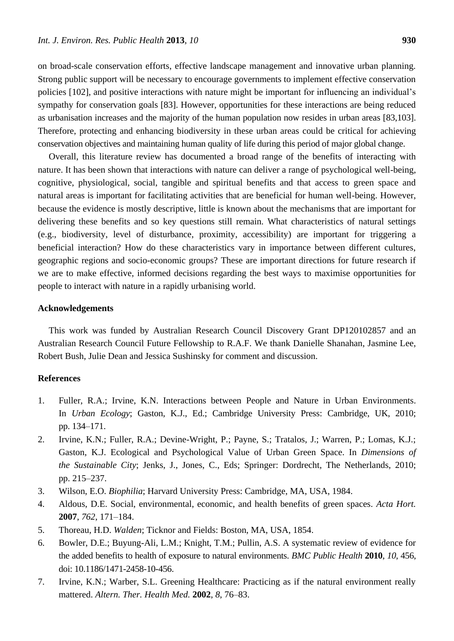on broad-scale conservation efforts, effective landscape management and innovative urban planning. Strong public support will be necessary to encourage governments to implement effective conservation policies [102], and positive interactions with nature might be important for influencing an individual's sympathy for conservation goals [83]. However, opportunities for these interactions are being reduced as urbanisation increases and the majority of the human population now resides in urban areas [83,103]. Therefore, protecting and enhancing biodiversity in these urban areas could be critical for achieving conservation objectives and maintaining human quality of life during this period of major global change.

Overall, this literature review has documented a broad range of the benefits of interacting with nature. It has been shown that interactions with nature can deliver a range of psychological well-being, cognitive, physiological, social, tangible and spiritual benefits and that access to green space and natural areas is important for facilitating activities that are beneficial for human well-being. However, because the evidence is mostly descriptive, little is known about the mechanisms that are important for delivering these benefits and so key questions still remain. What characteristics of natural settings (e.g., biodiversity, level of disturbance, proximity, accessibility) are important for triggering a beneficial interaction? How do these characteristics vary in importance between different cultures, geographic regions and socio-economic groups? These are important directions for future research if we are to make effective, informed decisions regarding the best ways to maximise opportunities for people to interact with nature in a rapidly urbanising world.

# **Acknowledgements**

This work was funded by Australian Research Council Discovery Grant DP120102857 and an Australian Research Council Future Fellowship to R.A.F. We thank Danielle Shanahan, Jasmine Lee, Robert Bush, Julie Dean and Jessica Sushinsky for comment and discussion.

#### **References**

- 1. Fuller, R.A.; Irvine, K.N. Interactions between People and Nature in Urban Environments. In *Urban Ecology*; Gaston, K.J., Ed.; Cambridge University Press: Cambridge, UK, 2010; pp. 134–171.
- 2. Irvine, K.N.; Fuller, R.A.; Devine-Wright, P.; Payne, S.; Tratalos, J.; Warren, P.; Lomas, K.J.; Gaston, K.J. Ecological and Psychological Value of Urban Green Space. In *Dimensions of the Sustainable City*; Jenks, J., Jones, C., Eds; Springer: Dordrecht, The Netherlands, 2010; pp. 215–237.
- 3. Wilson, E.O. *Biophilia*; Harvard University Press: Cambridge, MA, USA, 1984.
- 4. Aldous, D.E. Social, environmental, economic, and health benefits of green spaces. *Acta Hort.* **2007**, *762*, 171–184.
- 5. Thoreau, H.D. *Walden*; Ticknor and Fields: Boston, MA, USA, 1854.
- 6. Bowler, D.E.; Buyung-Ali, L.M.; Knight, T.M.; Pullin, A.S. A systematic review of evidence for the added benefits to health of exposure to natural environments. *BMC Public Health* **2010**, *10*, 456, doi: 10.1186/1471-2458-10-456.
- 7. Irvine, K.N.; Warber, S.L. Greening Healthcare: Practicing as if the natural environment really mattered. *Altern. Ther. Health Med.* **2002**, *8*, 76–83.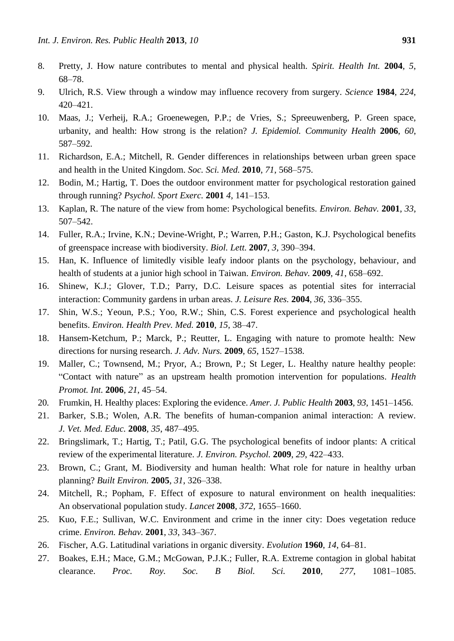- 8. Pretty, J. How nature contributes to mental and physical health. *Spirit. Health Int.* **2004**, *5*, 68–78.
- 9. Ulrich, R.S. View through a window may influence recovery from surgery. *Science* **1984**, *224*, 420–421.
- 10. Maas, J.; Verheij, R.A.; Groenewegen, P.P.; de Vries, S.; Spreeuwenberg, P. Green space, urbanity, and health: How strong is the relation? *J. Epidemiol. Community Health* **2006**, *60*, 587–592.
- 11. Richardson, E.A.; Mitchell, R. Gender differences in relationships between urban green space and health in the United Kingdom. *Soc. Sci. Med.* **2010**, *71*, 568–575.
- 12. Bodin, M.; Hartig, T. Does the outdoor environment matter for psychological restoration gained through running? *Psychol. Sport Exerc.* **2001** *4*, 141–153.
- 13. Kaplan, R. The nature of the view from home: Psychological benefits. *Environ. Behav.* **2001**, *33*, 507–542.
- 14. Fuller, R.A.; Irvine, K.N.; Devine-Wright, P.; Warren, P.H.; Gaston, K.J. Psychological benefits of greenspace increase with biodiversity. *Biol. Lett.* **2007**, *3*, 390–394.
- 15. Han, K. Influence of limitedly visible leafy indoor plants on the psychology, behaviour, and health of students at a junior high school in Taiwan. *Environ. Behav.* **2009**, *41*, 658–692.
- 16. Shinew, K.J.; Glover, T.D.; Parry, D.C. Leisure spaces as potential sites for interracial interaction: Community gardens in urban areas. *J. Leisure Res.* **2004**, *36*, 336–355.
- 17. Shin, W.S.; Yeoun, P.S.; Yoo, R.W.; Shin, C.S. Forest experience and psychological health benefits. *Environ. Health Prev. Med.* **2010**, *15*, 38–47.
- 18. Hansem-Ketchum, P.; Marck, P.; Reutter, L. Engaging with nature to promote health: New directions for nursing research. *J. Adv. Nurs.* **2009**, *65*, 1527–1538.
- 19. Maller, C.; Townsend, M.; Pryor, A.; Brown, P.; St Leger, L. Healthy nature healthy people: "Contact with nature" as an upstream health promotion intervention for populations. *Health Promot. Int.* **2006**, *21*, 45–54.
- 20. Frumkin, H. Healthy places: Exploring the evidence. *Amer. J. Public Health* **2003**, *93*, 1451–1456.
- 21. Barker, S.B.; Wolen, A.R. The benefits of human-companion animal interaction: A review. *J. Vet. Med. Educ.* **2008**, *35*, 487–495.
- 22. Bringslimark, T.; Hartig, T.; Patil, G.G. The psychological benefits of indoor plants: A critical review of the experimental literature. *J. Environ. Psychol.* **2009**, *29*, 422–433.
- 23. Brown, C.; Grant, M. Biodiversity and human health: What role for nature in healthy urban planning? *Built Environ.* **2005**, *31*, 326–338.
- 24. Mitchell, R.; Popham, F. Effect of exposure to natural environment on health inequalities: An observational population study. *Lancet* **2008**, *372*, 1655–1660.
- 25. Kuo, F.E.; Sullivan, W.C. Environment and crime in the inner city: Does vegetation reduce crime. *Environ. Behav.* **2001**, *33*, 343–367.
- 26. Fischer, A.G. Latitudinal variations in organic diversity. *Evolution* **1960**, *14*, 64–81.
- 27. Boakes, E.H.; Mace, G.M.; McGowan, P.J.K.; Fuller, R.A. Extreme contagion in global habitat clearance. *Proc. Roy. Soc. B Biol. Sci.* **2010**, *277*, 1081–1085.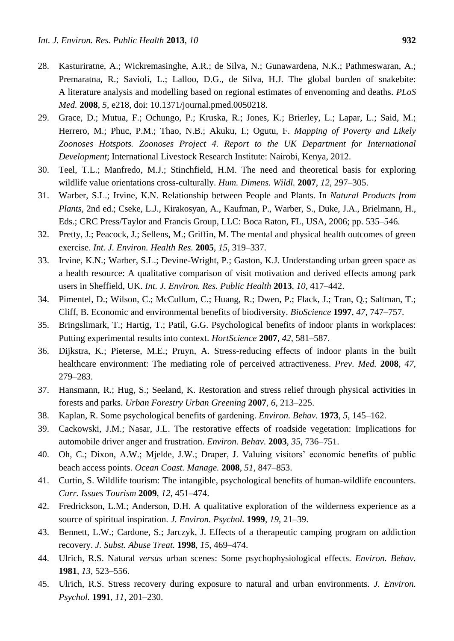- 28. Kasturiratne, A.; Wickremasinghe, A.R.; de Silva, N.; Gunawardena, N.K.; Pathmeswaran, A.; Premaratna, R.; Savioli, L.; Lalloo, D.G., de Silva, H.J. The global burden of snakebite: A literature analysis and modelling based on regional estimates of envenoming and deaths. *PLoS Med.* **2008**, *5*, e218, doi: 10.1371/journal.pmed.0050218.
- 29. Grace, D.; Mutua, F.; Ochungo, P.; Kruska, R.; Jones, K.; Brierley, L.; Lapar, L.; Said, M.; Herrero, M.; Phuc, P.M.; Thao, N.B.; Akuku, I.; Ogutu, F. *Mapping of Poverty and Likely Zoonoses Hotspots. Zoonoses Project 4. Report to the UK Department for International Development*; International Livestock Research Institute: Nairobi, Kenya, 2012.
- 30. Teel, T.L.; Manfredo, M.J.; Stinchfield, H.M. The need and theoretical basis for exploring wildlife value orientations cross-culturally. *Hum. Dimens. Wildl.* **2007**, *12*, 297–305.
- 31. Warber, S.L.; Irvine, K.N. Relationship between People and Plants. In *Natural Products from Plants*, 2nd ed.; Cseke, L.J., Kirakosyan, A., Kaufman, P., Warber, S., Duke, J.A., Brielmann, H., Eds.; CRC Press/Taylor and Francis Group, LLC: Boca Raton, FL, USA, 2006; pp. 535–546.
- 32. Pretty, J.; Peacock, J.; Sellens, M.; Griffin, M. The mental and physical health outcomes of green exercise. *Int. J. Environ. Health Res.* **2005**, *15*, 319–337.
- 33. Irvine, K.N.; Warber, S.L.; Devine-Wright, P.; Gaston, K.J. Understanding urban green space as a health resource: A qualitative comparison of visit motivation and derived effects among park users in Sheffield, UK. *Int. J. Environ. Res. Public Health* **2013**, *10*, 417–442.
- 34. Pimentel, D.; Wilson, C.; McCullum, C.; Huang, R.; Dwen, P.; Flack, J.; Tran, Q.; Saltman, T.; Cliff, B. Economic and environmental benefits of biodiversity. *BioScience* **1997**, *47*, 747–757.
- 35. Bringslimark, T.; Hartig, T.; Patil, G.G. Psychological benefits of indoor plants in workplaces: Putting experimental results into context. *HortScience* **2007**, *42*, 581–587.
- 36. Dijkstra, K.; Pieterse, M.E.; Pruyn, A. Stress-reducing effects of indoor plants in the built healthcare environment: The mediating role of perceived attractiveness. *Prev. Med.* **2008**, *47*, 279–283.
- 37. Hansmann, R.; Hug, S.; Seeland, K. Restoration and stress relief through physical activities in forests and parks. *Urban Forestry Urban Greening* **2007**, *6*, 213–225.
- 38. Kaplan, R. Some psychological benefits of gardening. *Environ. Behav.* **1973**, *5*, 145–162.
- 39. Cackowski, J.M.; Nasar, J.L. The restorative effects of roadside vegetation: Implications for automobile driver anger and frustration. *Environ. Behav.* **2003**, *35*, 736–751.
- 40. Oh, C.; Dixon, A.W.; Mjelde, J.W.; Draper, J. Valuing visitors' economic benefits of public beach access points. *Ocean Coast. Manage.* **2008**, *51*, 847–853.
- 41. Curtin, S. Wildlife tourism: The intangible, psychological benefits of human-wildlife encounters. *Curr. Issues Tourism* **2009**, *12*, 451–474.
- 42. Fredrickson, L.M.; Anderson, D.H. A qualitative exploration of the wilderness experience as a source of spiritual inspiration. *J. Environ. Psychol.* **1999**, *19*, 21–39.
- 43. Bennett, L.W.; Cardone, S.; Jarczyk, J. Effects of a therapeutic camping program on addiction recovery. *J. Subst. Abuse Treat.* **1998**, *15*, 469–474.
- 44. Ulrich, R.S. Natural *versus* urban scenes: Some psychophysiological effects. *Environ. Behav.* **1981**, *13*, 523–556.
- 45. Ulrich, R.S. Stress recovery during exposure to natural and urban environments. *J. Environ. Psychol.* **1991**, *11*, 201–230.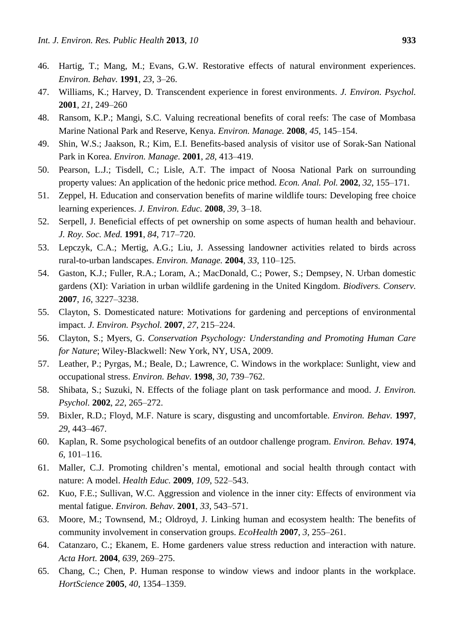- 46. Hartig, T.; Mang, M.; Evans, G.W. Restorative effects of natural environment experiences. *Environ. Behav.* **1991**, *23*, 3–26.
- 47. Williams, K.; Harvey, D. Transcendent experience in forest environments. *J. Environ. Psychol.* **2001**, *21*, 249–260
- 48. Ransom, K.P.; Mangi, S.C. Valuing recreational benefits of coral reefs: The case of Mombasa Marine National Park and Reserve, Kenya. *Environ. Manage.* **2008**, *45*, 145–154.
- 49. Shin, W.S.; Jaakson, R.; Kim, E.I. Benefits-based analysis of visitor use of Sorak-San National Park in Korea. *Environ. Manage.* **2001**, *28*, 413–419.
- 50. Pearson, L.J.; Tisdell, C.; Lisle, A.T. The impact of Noosa National Park on surrounding property values: An application of the hedonic price method. *Econ. Anal. Pol.* **2002**, *32*, 155–171.
- 51. Zeppel, H. Education and conservation benefits of marine wildlife tours: Developing free choice learning experiences. *J. Environ. Educ.* **2008**, *39*, 3–18.
- 52. Serpell, J. Beneficial effects of pet ownership on some aspects of human health and behaviour. *J. Roy. Soc. Med.* **1991**, *84*, 717–720.
- 53. Lepczyk, C.A.; Mertig, A.G.; Liu, J. Assessing landowner activities related to birds across rural-to-urban landscapes. *Environ. Manage.* **2004**, *33*, 110–125.
- 54. Gaston, K.J.; Fuller, R.A.; Loram, A.; MacDonald, C.; Power, S.; Dempsey, N. Urban domestic gardens (XI): Variation in urban wildlife gardening in the United Kingdom. *Biodivers. Conserv.* **2007**, *16*, 3227–3238.
- 55. Clayton, S. Domesticated nature: Motivations for gardening and perceptions of environmental impact. *J. Environ. Psychol.* **2007**, *27*, 215–224.
- 56. Clayton, S.; Myers, G. *Conservation Psychology: Understanding and Promoting Human Care for Nature*; Wiley-Blackwell: New York, NY, USA, 2009.
- 57. Leather, P.; Pyrgas, M.; Beale, D.; Lawrence, C. Windows in the workplace: Sunlight, view and occupational stress. *Environ. Behav.* **1998**, *30*, 739–762.
- 58. Shibata, S.; Suzuki, N. Effects of the foliage plant on task performance and mood. *J. Environ. Psychol.* **2002**, *22*, 265–272.
- 59. Bixler, R.D.; Floyd, M.F. Nature is scary, disgusting and uncomfortable. *Environ. Behav.* **1997**, *29*, 443–467.
- 60. Kaplan, R. Some psychological benefits of an outdoor challenge program. *Environ. Behav.* **1974**, *6*, 101–116.
- 61. Maller, C.J. Promoting children's mental, emotional and social health through contact with nature: A model. *Health Educ.* **2009**, *109*, 522–543.
- 62. Kuo, F.E.; Sullivan, W.C. Aggression and violence in the inner city: Effects of environment via mental fatigue. *Environ. Behav.* **2001**, *33*, 543–571.
- 63. Moore, M.; Townsend, M.; Oldroyd, J. Linking human and ecosystem health: The benefits of community involvement in conservation groups. *EcoHealth* **2007**, *3*, 255–261.
- 64. Catanzaro, C.; Ekanem, E. Home gardeners value stress reduction and interaction with nature. *Acta Hort.* **2004**, *639*, 269–275.
- 65. Chang, C.; Chen, P. Human response to window views and indoor plants in the workplace. *HortScience* **2005**, *40*, 1354–1359.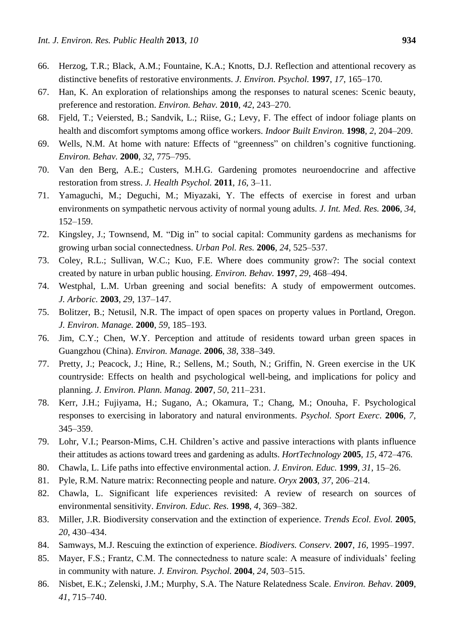- 66. Herzog, T.R.; Black, A.M.; Fountaine, K.A.; Knotts, D.J. Reflection and attentional recovery as distinctive benefits of restorative environments. *J. Environ. Psychol.* **1997**, *17*, 165–170.
- 67. Han, K. An exploration of relationships among the responses to natural scenes: Scenic beauty, preference and restoration. *Environ. Behav.* **2010**, *42*, 243–270.
- 68. Fjeld, T.; Veiersted, B.; Sandvik, L.; Riise, G.; Levy, F. The effect of indoor foliage plants on health and discomfort symptoms among office workers. *Indoor Built Environ.* **1998**, *2*, 204–209.
- 69. Wells, N.M. At home with nature: Effects of "greenness" on children's cognitive functioning. *Environ. Behav.* **2000**, *32*, 775–795.
- 70. Van den Berg, A.E.; Custers, M.H.G. Gardening promotes neuroendocrine and affective restoration from stress. *J. Health Psychol.* **2011**, *16*, 3–11.
- 71. Yamaguchi, M.; Deguchi, M.; Miyazaki, Y. The effects of exercise in forest and urban environments on sympathetic nervous activity of normal young adults. *J. Int. Med. Res.* **2006**, *34*, 152–159.
- 72. Kingsley, J.; Townsend, M. "Dig in" to social capital: Community gardens as mechanisms for growing urban social connectedness. *Urban Pol. Res.* **2006**, *24*, 525–537.
- 73. Coley, R.L.; Sullivan, W.C.; Kuo, F.E. Where does community grow?: The social context created by nature in urban public housing. *Environ. Behav.* **1997**, *29*, 468–494.
- 74. Westphal, L.M. Urban greening and social benefits: A study of empowerment outcomes. *J. Arboric.* **2003**, *29*, 137–147.
- 75. Bolitzer, B.; Netusil, N.R. The impact of open spaces on property values in Portland, Oregon. *J. Environ. Manage.* **2000**, *59*, 185–193.
- 76. Jim, C.Y.; Chen, W.Y. Perception and attitude of residents toward urban green spaces in Guangzhou (China). *Environ. Manage.* **2006**, *38*, 338–349.
- 77. Pretty, J.; Peacock, J.; Hine, R.; Sellens, M.; South, N.; Griffin, N. Green exercise in the UK countryside: Effects on health and psychological well-being, and implications for policy and planning. *J. Environ. Plann. Manag.* **2007**, *50*, 211–231.
- 78. Kerr, J.H.; Fujiyama, H.; Sugano, A.; Okamura, T.; Chang, M.; Onouha, F. Psychological responses to exercising in laboratory and natural environments. *Psychol. Sport Exerc.* **2006**, *7*, 345–359.
- 79. Lohr, V.I.; Pearson-Mims, C.H. Children's active and passive interactions with plants influence their attitudes as actions toward trees and gardening as adults. *HortTechnology* **2005**, *15*, 472–476.
- 80. Chawla, L. Life paths into effective environmental action. *J. Environ. Educ.* **1999**, *31*, 15–26.
- 81. Pyle, R.M. Nature matrix: Reconnecting people and nature. *Oryx* **2003**, *37*, 206–214.
- 82. Chawla, L. Significant life experiences revisited: A review of research on sources of environmental sensitivity. *Environ. Educ. Res.* **1998**, *4*, 369–382.
- 83. Miller, J.R. Biodiversity conservation and the extinction of experience. *Trends Ecol. Evol.* **2005**, *20*, 430–434.
- 84. Samways, M.J. Rescuing the extinction of experience. *Biodivers. Conserv.* **2007**, *16*, 1995–1997.
- 85. Mayer, F.S.; Frantz, C.M. The connectedness to nature scale: A measure of individuals' feeling in community with nature. *J. Environ. Psychol.* **2004**, *24*, 503–515.
- 86. Nisbet, E.K.; Zelenski, J.M.; Murphy, S.A. The Nature Relatedness Scale. *Environ. Behav.* **2009**, *41*, 715–740.